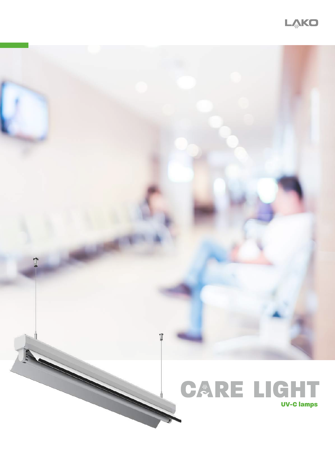

## CARE LIGHT UV-C lamps

11

A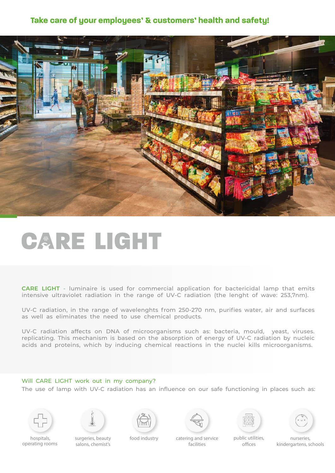### **Take care of your employees' & customers' health and safety!**



# CARE LIGHT

**CARE LIGHT -** luminaire is used for commercial application for bactericidal lamp that emits intensive ultraviolet radiation in the range of UV-C radiation (the lenght of wave: 253,7nm).

UV-C radiation, in the range of wavelenghts from 250-270 nm, purifies water, air and surfaces as well as eliminates the need to use chemical products.

UV-C radiation affects on DNA of microorganisms such as: bacteria, mould, yeast, viruses. replicating. This mechanism is based on the absorption of energy of UV-C radiation by nucleic acids and proteins, which by inducing chemical reactions in the nuclei kills microorganisms.

### Will CARE LIGHT work out in my company?

The use of lamp with UV-C radiation has an influence on our safe functioning in places such as:















 hospitals, operating rooms

surgeries, beauty salons, chemist's

food industry catering and service facilities

public utilities, offices

nurseries, kindergartens, schools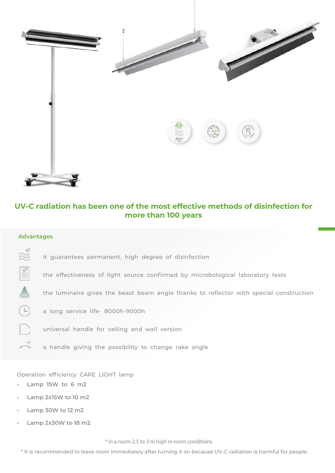

### **UV-C radiation has been one of the most effective methods of disinfection for more than 100 years**

### **Advantages**

- N& it guarantees permanent, high degree of disinfection
- $\mathbb{R}$ the effectiveness of light source confirmed by microbological laboratory tests
	- the luminaire gives the beast beam angle thanks to reflector with special construction
- $\bigcirc$ a long service life- 8000h-9000h
	- universal handle for ceiling and wall version
- $\stackrel{\text{v}}{\longrightarrow}$ a handle giving the possibility to change rake angle

Operation efficiency CARE LIGHT lamp

- **• Lamp 15W to 6 m2**
- **• Lamp 2x15W to 10 m2**
- **• Lamp 30W to 12 m2**
- **• Lamp 2x30W to 18 m2**

\* in a room 2.5 to 3 m high in room conditions

\* It is recommended to leave room immediately after turning it on because UV-C radiation is harmful for people.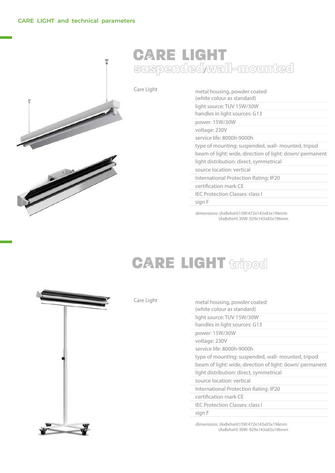#### **CARE LIGHT and technical parameters**



### **CARE LIGHT** suspended/wall-mounted

|  | Care Light | metal housing, powder coated<br>(white colour as standard) |
|--|------------|------------------------------------------------------------|
|  |            | light source: TUV 15W/30W                                  |
|  |            | handles in light sources: G13                              |
|  |            | power: 15W/30W                                             |
|  |            | voltage: 230V                                              |
|  |            | service life: 8000h-9000h                                  |
|  |            | type of mounting: suspended, wall- mounted, tripod         |
|  |            | beam of light: wide, direction of light: down/ permanent   |
|  |            | light distribution: direct, symmetrical                    |
|  |            | source location: vertical                                  |
|  |            | International Protection Rating: IP20                      |
|  |            | certification mark CE                                      |
|  |            | <b>IEC Protection Classes: class I</b>                     |
|  |            | sign F                                                     |

dimensions: (AxBxhxH)15W:472x143x83x196mm (AxBxhxH) 30W: 929x143x83x196mm

## **CARE LIGHT tripod**

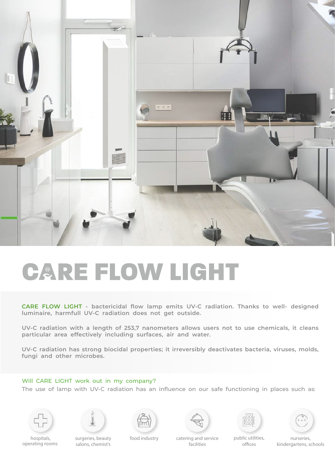

# **CARE FLOW LIGHT**

**CARE FLOW LIGHT - bactericidal flow lamp emits UV-C radiation. Thanks to well- designed luminaire, harmfull UV-C radiation does not get outside.** 

**UV-C radiation with a length of 253,7 nanometers allows users not to use chemicals, it cleans particular area effectively including surfaces, air and water.** 

**UV-C radiation has strong biocidal properties; it irreversibly deactivates bacteria, viruses, molds, fungi and other microbes.** 

### Will CARE LIGHT work out in my company?

The use of lamp with UV-C radiation has an influence on our safe functioning in places such as:















 hospitals, operating rooms

surgeries, beauty salons, chemist's

food industry catering and service facilities

public utilities, offices

nurseries, kindergartens, schools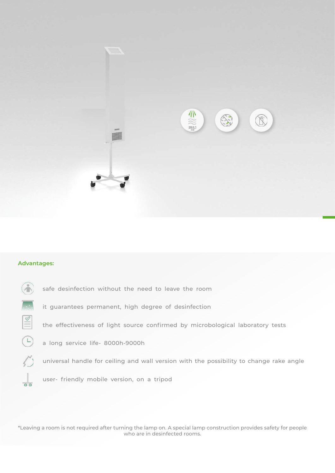

### **Advantages:**

|                | safe desinfection without the need to leave the room                                    |
|----------------|-----------------------------------------------------------------------------------------|
|                | it guarantees permanent, high degree of desinfection                                    |
| $\vert \leq$   | the effectiveness of light source confirmed by microbological laboratory tests          |
| $\left($ –     | a long service life- 8000h-9000h                                                        |
| $\mathbb{Z}^n$ | universal handle for ceiling and wall version with the possibility to change rake angle |
|                | user- friendly mobile version, on a tripod                                              |

\*Leaving a room is not required after turning the lamp on. A special lamp construction provides safety for people who are in desinfected rooms.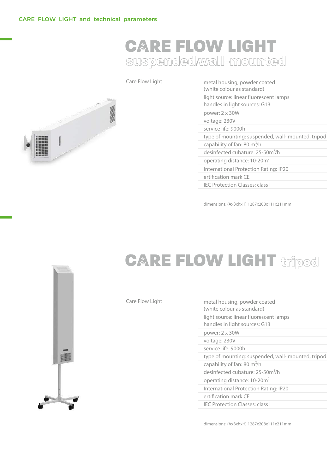### **CARE FLOW LIGHT** suspended/wall-mounted



| Care Flow Light | metal housing, powder coated<br>(white colour as standard) |
|-----------------|------------------------------------------------------------|
|                 | light source: linear fluorescent lamps                     |
|                 | handles in light sources: G13                              |
|                 | power: 2 x 30W                                             |
|                 | voltage: 230V                                              |
|                 | service life: 9000h                                        |
|                 | type of mounting: suspended, wall- mounted, tripod         |
|                 | capability of fan: 80 m <sup>3</sup> /h                    |
|                 | desinfected cubature: 25-50m <sup>3</sup> /h               |
|                 | operating distance: 10-20m <sup>2</sup>                    |
|                 | International Protection Rating: IP20                      |
|                 | ertification mark CE                                       |
|                 | <b>IEC Protection Classes: class I</b>                     |

dimensions: (AxBxhxH) 1287x208x111x211mm



## **CARE FLOW LIGHT tripod**

|  | Care Flow Light | metal housing, powder coated<br>(white colour as standard) |
|--|-----------------|------------------------------------------------------------|
|  |                 | light source: linear fluorescent lamps                     |
|  |                 | handles in light sources: G13                              |
|  |                 | power: 2 x 30W                                             |
|  |                 | voltage: 230V                                              |
|  |                 | service life: 9000h                                        |
|  |                 | type of mounting: suspended, wall- mounted, tripod         |
|  |                 | capability of fan: 80 m <sup>3</sup> /h                    |
|  |                 | desinfected cubature: 25-50m <sup>3</sup> /h               |
|  |                 | operating distance: 10-20m <sup>2</sup>                    |
|  |                 | International Protection Rating: IP20                      |
|  |                 | ertification mark CE                                       |
|  |                 | <b>IEC Protection Classes: class I</b>                     |
|  |                 |                                                            |

dimensions: (AxBxhxH) 1287x208x111x211mm